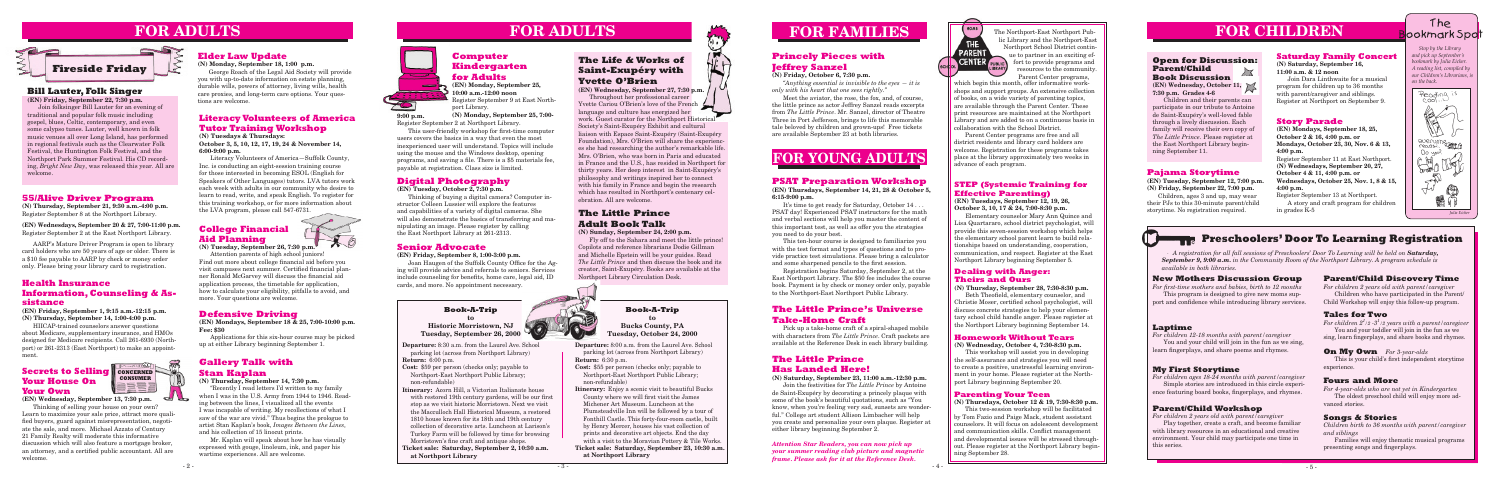**Departure:** 8:30 a.m. from the Laurel Ave. School parking lot (across from Northport Library) **Return:** 6:00 p.m. **Cost:** \$59 per person (checks only; payable to

Northport-East Northport Public Library; non-refundable)

- **Itinerary:** Acorn Hill, a Victorian Italianate house with restored 19th century gardens, will be our first stop as we visit historic Morristown. Next we visit the Macculloch Hall Historical Museum, a restored 1810 house known for its 18th and 19th century collection of decorative arts. Luncheon at Larison's Turkey Farm will be followed by time for browsing Morristown's fine craft and antique shops.
- **Ticket sale: Saturday, September 2, 10:30 a.m. at Northport Library**

 $\frac{1}{2}$ 





# **FOR CHILDREN**

#### **Book-A-Trip**

**to Historic Morristown, NJ Tuesday, September 26, 2000**

### **55/Alive Driver Program**

**(N) Thursday, September 21, 9:30 a.m.-4:00 p.m.** Register September 8 at the Northport Library.

**(EN) Wednesdays, September 20 & 27, 7:00-11:00 p.m.** Register September 2 at the East Northport Library.

AARP's Mature Driver Program is open to library card holders who are 50 years of age or older. There is a \$10 fee payable to AARP by check or money order only. Please bring your library card to registration.

#### **Health Insurance Information, Counseling & Assistance**

**(EN) Friday, September 1, 9:15 a.m.-12:15 p.m. (N) Thursday, September 14, 1:00-4:00 p.m.**

HIICAP-trained counselors answer questions about Medicare, supplementary insurance, and HMOs designed for Medicare recipients. Call 261-6930 (Northport) or 261-2313 (East Northport) to make an appointment.

#### **Secrets to Selling CONCERNED Your House On Your Own**

# **FOR ADULTS**



#### **(N) Monday, September 18, 1:00 p.m.**

George Roach of the Legal Aid Society will provide you with up-to-date information on estate planning, durable wills, powers of attorney, living wills, health care proxies, and long-term care options. Your questions are welcome.

# **FOR ADULTS**

#### **Defensive Driving**

**(EN) Mondays, September 18 & 25, 7:00-10:00 p.m. Fee: \$30** 

Applications for this six-hour course may be picked up at either Library beginning September 1.

### **Bill Lauter, Folk Singer**

**(EN) Friday, September 22, 7:30 p.m.** Join folksinger Bill Lauter for an evening of traditional and popular folk music including gospel, blues, Celtic, contemporary, and even some calypso tunes. Lauter, well known in folk music venues all over Long Island, has performed in regional festivals such as the Clearwater Folk Festival, the Huntington Folk Festival, and the Northport Park Summer Festival. His CD recording, *Bright New Day*, was released this year. All are welcome.

#### **Parenting Your Teen**

**(N) Thursdays, October 12 & 19, 7:30-8:30 p.m.**

This two-session workshop will be facilitated by Tom Fazio and Paige Mack, student assistant counselors. It will focus on adolescent development and communication skills. Conflict management and developmental issues will be stressed throughout. Please register at the Northport Library beginning September 28.



**(EN) Monday, September 25, 10:00 a.m.-12:00 noon** Register September 9 at East Northport Library.

**(N) Monday, September 25, 7:00-**



Thinking of selling your house on your own? Learn to maximize your sale price, attract more qualified buyers, guard against misrepresentation, negotiate the sale, and more. Michael Azzato of Century 21 Family Realty will moderate this informative discussion which will also feature a mortgage broker, an attorney, and a certified public accountant. All are welcome.

#### **Homework Without Tears**

**(N) Wednesday, October 4, 7:30-8:30 p.m.**

This workshop will assist you in developing the self-assurance and strategies you will need to create a positive, unstressful learning environment in your home. Please register at the Northport Library beginning September 20.

#### **Dealing with Anger: Theirs and Ours**

**(N) Thursday, September 28, 7:30-8:30 p.m.**

 Beth Theofield, elementary counselor, and Christie Moser, certified school psychologist, will discuss concrete strategies to help your elementary school child handle anger. Please register at the Northport Library beginning September 14.

#### **STEP (Systemic Training for Effective Parenting)**

**(EN) Tuesdays, September 12, 19, 26, October 3, 10, 17 & 24, 7:00-8:30 p.m.**

Elementary counselor Mary Ann Quince and Lisa Quartararo, school district psychologist, will provide this seven-session workshop which helps the elementary school parent learn to build relationships based on understanding, cooperation, communication, and respect. Register at the East Northport Library beginning September 5.

#### **New Mothers Discussion Group**

*For first-time mothers and babies, birth to 12 months* This program is designed to give new moms support and confidence while introducing library services.

#### **Laptime**

*For children 12-18 months with parent/caregiver* You and your child will join in the fun as we sing, learn fingerplays, and share poems and rhymes.

#### **My First Storytime**

*For children ages 18-24 months with parent/caregiver* Simple stories are introduced in this circle experience featuring board books, fingerplays, and rhymes.

#### **Parent/Child Workshop**

*For children 2 years old with parent/caregiver*

Play together, create a craft, and become familiar with library resources in an educational and creative environment. Your child may participate one time in this series.

## The ookmark Spo<mark>t</mark>

#### **Parent/Child Discovery Time**

*For children 2 years old with parent/caregiver* Children who have participated in the Parent/ Child Workshop will enjoy this follow-up program.

#### **Tales for Two**

*For children 21 /2 -31 /2 years with a parent/caregiver* You and your toddler will join in the fun as we sing, learn fingerplays, and share books and rhymes.

*A registration for all fall sessions of Preschoolers' Door To Learning will be held on Saturday, September 9, 9:00 a.m. in the Community Room of the Northport Library. A program schedule is available in both libraries.*

#### **On My Own** *For 3-year-olds*

 This is your child's first independent storytime experience.

#### **Fours and More**

*For 4-year-olds who are not yet in Kindergarten* The oldest preschool child will enjoy more advanced stories.

#### **PSAT Preparation Workshop**

**(EN) Thursdays, September 14, 21, 28 & October 5, 6:15-9:00 p.m.**

It's time to get ready for Saturday, October 14 . . . PSAT day! Experienced PSAT instructors for the math and verbal sections will help you master the content of this important test, as well as offer you the strategies you need to do your best.

This ten-hour course is designed to familiarize you with the test format and types of questions and to provide practice test simulations. Please bring a calculator and some sharpened pencils to the first session.

Registration begins Saturday, September 2, at the East Northport Library. The \$50 fee includes the course book. Payment is by check or money order only, payable to the Northport-East Northport Public Library.

### **The Little Prince Has Landed Here!**

**(N) Saturday, September 23, 11:00 a.m.-12:30 p.m.** Join the festivities for *The Little Prince* by Antoine de Saint-Exupéry by decorating a princely plaque with some of the book's beautiful quotations, such as "You know, when you're feeling very sad, sunsets are wonderful." College art student Allison Limbacher will help you create and personalize your own plaque. Register at either library beginning September 2.

*Attention Star Readers, you can now pick up your summer reading club picture and magnetic frame. Please ask for it at the Reference Desk.*



#### **Literacy Volunteers of America Tutor Training Workshop**

#### **(N) Tuesdays & Thursdays:**

**October 3, 5, 10, 12, 17, 19, 24 & November 14, 6:00-9:00 p.m.**

Literacy Volunteers of America—Suffolk County, Inc. is conducting an eight-session training course for those interested in becoming ESOL (English for Speakers of Other Languages) tutors. LVA tutors work each week with adults in our community who desire to learn to read, write, and speak English. To register for this training workshop, or for more information about the LVA program, please call 547-6731.

#### **College Financial Aid Planning**

**(N) Tuesday, September 26, 7:30 p.m.**

Attention parents of high school juniors! Find out more about college financial aid before you visit campuses next summer. Certified financial planner Ronald McGarvey will discuss the financial aid application process, the timetable for application, how to calculate your eligibility, pitfalls to avoid, and more. Your questions are welcome.

> **Departure:** 8:00 a.m. from the Laurel Ave. School parking lot (across from Northport Library) **Return:** 6:30 p.m.

- **Cost:** \$55 per person (checks only; payable to Northport-East Northport Public Library; non-refundable)
- **Itinerary:** Enjoy a scenic visit to beautiful Bucks County where we will first visit the James Michener Art Museum. Luncheon at the Plumsteadville Inn will be followed by a tour of Fonthill Castle. This forty-four-room castle, built by Henry Mercer, houses his vast collection of prints and decorative art objects. End the day with a visit to the Moravian Pottery & Tile Works. **Ticket sale: Saturday, September 23, 10:30 a.m.**
- **at Northport Library**

#### **Book-A-Trip to Bucks County, PA Tuesday, October 24, 2000**

#### **Pajama Storytime**

**(EN) Tuesday, September 12, 7:00 p.m. (N) Friday, September 22, 7:00 p.m.**

Children, ages 3 and up, may wear their PJs to this 30-minute parent/child storytime. No registration required.

#### **Story Parade**

**(EN) Mondays, September 18, 25, October 2 & 16, 4:00 p.m. or Mondays, October 23, 30, Nov. 6 & 13, 4:00 p.m.**

Register September 11 at East Northport. **(N) Wednesdays, September 20, 27, October 4 & 11, 4:00 p.m. or Wednesdays, October 25, Nov. 1, 8 & 15, 4:00 p.m.**

Register September 13 at Northport. A story and craft program for children in grades K-5

The Northport-East Northport Public Library and the Northport-East Northport School District continue to partner in an exciting ef-**CENTER** FUBLIC fort to provide programs and resources to the community. Parent Center programs,

which begin this month, offer informative workshops and support groups. An extensive collection of books, on a wide variety of parenting topics, are available through the Parent Center. These print resources are maintained at the Northport Library and are added to on a continuous basis in collaboration with the School District.

Parent Center programs are free and all district residents and library card holders are welcome. Registration for these programs takes place at the library approximately two weeks in advance of each program.





### **Preschoolers' Door To Learning Registration**

### **Gallery Talk with Stan Kaplan**

#### **(N) Thursday, September 14, 7:30 p.m.**

"Recently I read letters I'd written to my family when I was in the U.S. Army from 1944 to 1946. Reading between the lines, I visualized all the events I was incapable of writing. My recollections of what I saw of the war are vivid." Thus begins the prologue to artist Stan Kaplan's book, *Images Between the Lines,* and his collection of 15 linocut prints.

Mr. Kaplan will speak about how he has visually expressed with gouge, linoleum, ink, and paper his wartime experiences. All are welcome.

**9:00 p.m.**

Register September 2 at Northport Library.

 This user-friendly workshop for first-time computer users covers the basics in a way that even the most inexperienced user will understand. Topics will include using the mouse and the Windows desktop, opening programs, and saving a file. There is a \$5 materials fee, payable at registration. Class size is limited.

# **FOR YOUNG ADULTS**



### **The Little Prince Adult Book Talk**

**(N) Sunday, September 24, 2:00 p.m.**

Fly off to the Sahara and meet the little prince! Copilots and reference librarians Dodie Gillman and Michelle Epstein will be your guides. Read *The Little Prince* and then discuss the book and its creator, Saint-Exupéry. Books are available at the Northport Library Circulation Desk.



**CONSUMER**

#### **The Little Prince's Universe Take-Home Craft**

Pick up a take-home craft of a spiral-shaped mobile with characters from *The Little Prince*. Craft packets are available at the Reference Desk in each library building.

#### **Senior Advocate**

#### **(EN) Friday, September 8, 1:00-3:00 p.m.**

 Joan Haugen of the Suffolk County Office for the Aging will provide advice and referrals to seniors. Services include counseling for benefits, home care, legal aid, ID cards, and more. No appointment necessary.

#### **Digital Photography**

**(EN) Tuesday, October 2, 7:30 p.m.**

Thinking of buying a digital camera? Computer instructor Colleen Lussier will explore the features and capabilities of a variety of digital cameras. She will also demonstrate the basics of transferring and manipulating an image. Please register by calling the East Northport Library at 261-2313.

### **Princely Pieces with Jeffrey Sanzel**

**(N) Friday, October 6, 7:30 p.m.**

*"Anything essential is invisible to the eyes — it is only with his heart that one sees rightly."*

Meet the aviator, the rose, the fox, and, of course, the little prince as actor Jeffrey Sanzel reads excerpts from *The Little Prince*. Mr. Sanzel, director of Theatre Three in Port Jefferson, brings to life this memorable tale beloved by children and grown-ups! Free tickets are available September 23 at both libraries.

### **The Life & Works of Saint-Exupéry with Yvette O'Brien**

 es she had researching the author's remarkable life. **(EN) Wednesday, September 27, 7:30 p.m.** Throughout her professional career Yvette Cariou O'Brien's love of the French language and culture has energized her work. Guest curator for the Northport Historical Society's Saint-Exupéry Exhibit and cultural liaison with Espace Saint-Exupéry (Saint-Exupéry Foundation), Mrs. O'Brien will share the experienc-Mrs. O'Brien, who was born in Paris and educated in France and the U.S., has resided in Northport for thirty years. Her deep interest in Saint-Exupéry's philosophy and writings inspired her to connect with his family in France and begin the research which has resulted in Northport's centenary celebration. All are welcome.

### **Saturday Family Concert**

**(N) Saturday, September 16, 11:00 a.m. & 12 noon**

Join Dara Linthwaite for a musical program for children up to 36 months with parent/caregiver and siblings. Register at Northport on September 9.

#### **Songs & Stories**

*Children birth to 36 months with parent/caregiver and siblings*

Families will enjoy thematic musical programs presenting songs and fingerplays.

#### **Open for Discussion: Parent/Child**   $\searrow$ **Book Discussion (EN) Wednesday, October 11,**

**7:30 p.m. Grades 4-6**

Children and their parents can participate in our tribute to Antoine de Saint-Exupéry's well-loved fable through a lively discussion. Each family will receive their own copy of *The Little Prince*. Please register at the East Northport Library beginning September 11.